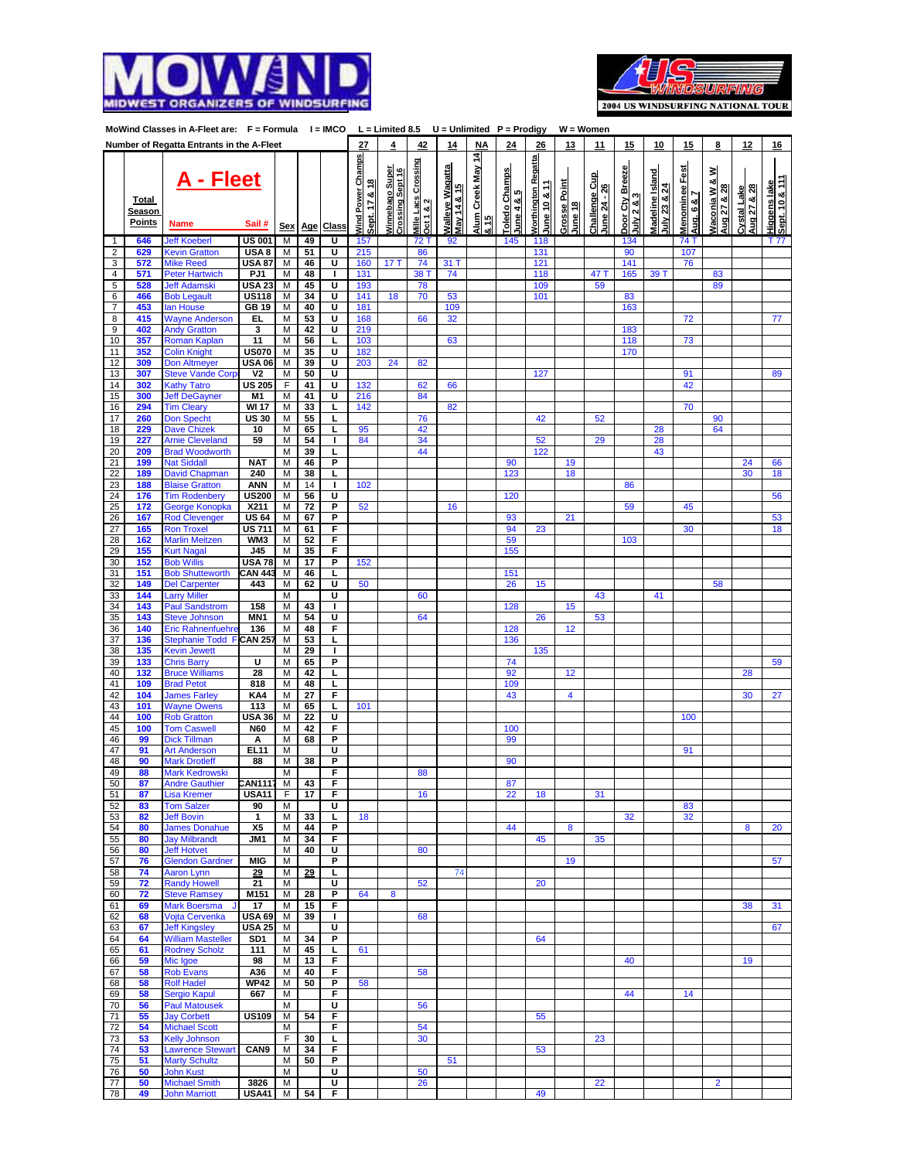



| MoWind Classes in A-Fleet are: F = Formula I = IMCO L = Limited 8.5 U = Unlimited P = Prodigy |                                  |                                                |                               |            |                 |              |                                           |                                     |                                         |                                        |                                   |                             | $W = Women$                                 |                         |                               |                               |                                 |                              |                                            |                            |                                |
|-----------------------------------------------------------------------------------------------|----------------------------------|------------------------------------------------|-------------------------------|------------|-----------------|--------------|-------------------------------------------|-------------------------------------|-----------------------------------------|----------------------------------------|-----------------------------------|-----------------------------|---------------------------------------------|-------------------------|-------------------------------|-------------------------------|---------------------------------|------------------------------|--------------------------------------------|----------------------------|--------------------------------|
|                                                                                               |                                  | Number of Regatta Entrants in the A-Fleet      |                               |            |                 |              | 27                                        | 4                                   | 42                                      | 14                                     | <b>NA</b>                         | 24                          | 26                                          | 13                      | 11                            | 15                            | 10                              | 15                           | 8                                          | 12                         | 16                             |
|                                                                                               | Total<br>Season<br><b>Points</b> | <u> A - Fleet</u><br>Name                      | Sail#                         | <u>Sex</u> | <u>Age</u>      | <b>Class</b> | <b>Nind Power Champs</b><br>Sept. 17 & 18 | Winnebago Super<br>Crossing Sept 16 | <u>Mille Lacs Crossing</u><br>Oct 1 & 2 | <u> Malleye Wagatta</u><br>May 14 & 15 | Alum Creek May 14<br>$rac{15}{8}$ | Toledo Champs<br>June 4 & 5 | <b>Northington Regatta</b><br>$une 10 8 11$ | Grosse Point<br>June 18 | Challenge Cup<br>June 24 - 26 | Door Cty Breeze<br>uly2 & 8.3 | Madeline Island<br>July 23 & 24 | 뗾<br>Menominee<br>Aug. 6 & 7 | ≥<br><b>Naconia W &amp;</b><br>Aug 27 & 28 | Cystal Lake<br>Aug 27 & 28 | Sept. 10 & 111<br>Higgens lake |
| 1                                                                                             | 646                              | <b>Jeff Koeberl</b>                            | <b>US 001</b>                 | M          | 49              | U            | 157                                       |                                     | 72 T                                    | 92                                     |                                   | 145                         | 118                                         |                         |                               | 134                           |                                 | 74 T                         |                                            |                            | T 77                           |
| $\overline{\mathbf{c}}$                                                                       | 629                              | <b>Kevin Gratton</b>                           | USA 8                         | M          | 51              | U            | 215                                       |                                     | 86                                      |                                        |                                   |                             | 131                                         |                         |                               | 90                            |                                 | 107                          |                                            |                            |                                |
| 3                                                                                             | 572                              | <b>Mike Reed</b>                               | <b>USA 87</b>                 | М          | 46              | U            | 160                                       | 17T                                 | 74                                      | 31 T                                   |                                   |                             | 121                                         |                         |                               | 141                           |                                 | 76                           |                                            |                            |                                |
| 4                                                                                             | 571                              | Peter Hartwich                                 | PJ1                           | M          | 48              | I.           | 131                                       |                                     | 38 T                                    | 74                                     |                                   |                             | 118                                         |                         | 47 T                          | 165                           | 39 T                            |                              | 83                                         |                            |                                |
| 5<br>6                                                                                        | 528<br>466                       | <b>Jeff Adamski</b>                            | <b>USA 23</b><br><b>US118</b> | М<br>M     | 45<br>34        | Ū<br>U       | 193<br>141                                | 18                                  | 78<br>70                                | 53                                     |                                   |                             | 109<br>101                                  |                         | 59                            | 83                            |                                 |                              | 89                                         |                            |                                |
| 7                                                                                             | 453                              | <b>Bob Legault</b><br>an House                 | GB 19                         | М          | 40              | U            | 181                                       |                                     |                                         | 109                                    |                                   |                             |                                             |                         |                               | 163                           |                                 |                              |                                            |                            |                                |
| 8                                                                                             | 415                              | <b>Nayne Anderson</b>                          | EL.                           | М          | 53              | U            | 168                                       |                                     | 66                                      | 32                                     |                                   |                             |                                             |                         |                               |                               |                                 | 72                           |                                            |                            | 77                             |
| 9                                                                                             | 402                              | <b>Andy Gratton</b>                            | 3                             | М          | 42              | U            | 219                                       |                                     |                                         |                                        |                                   |                             |                                             |                         |                               | 183                           |                                 |                              |                                            |                            |                                |
| 10                                                                                            | 357                              | Roman Kaplan                                   | 11                            | M          | 56              | L            | 103                                       |                                     |                                         | 63                                     |                                   |                             |                                             |                         |                               | 118                           |                                 | 73                           |                                            |                            |                                |
| 11                                                                                            | 352                              | <b>Colin Knight</b>                            | <b>US070</b>                  | M          | 35              | U            | 182                                       |                                     |                                         |                                        |                                   |                             |                                             |                         |                               | 170                           |                                 |                              |                                            |                            |                                |
| 12                                                                                            | 309                              | <b>Don Altmeyer</b>                            | <b>USA 06</b>                 | М          | 39              | Ū            | 203                                       | 24                                  | 82                                      |                                        |                                   |                             |                                             |                         |                               |                               |                                 |                              |                                            |                            |                                |
| 13                                                                                            | 307                              | <b>Steve Vande Corp</b>                        | V <sub>2</sub>                | м          | 50              | U            |                                           |                                     |                                         |                                        |                                   |                             | 127                                         |                         |                               |                               |                                 | 91                           |                                            |                            | 89                             |
| 14                                                                                            | 302                              | <b>Kathy Tatro</b>                             | <b>US 205</b>                 | F          | 41              | U            | 132                                       |                                     | 62                                      | 66                                     |                                   |                             |                                             |                         |                               |                               |                                 | 42                           |                                            |                            |                                |
| 15<br>16                                                                                      | 300<br>294                       | <b>Jeff DeGayner</b><br><b>Tim Cleary</b>      | M1<br><b>WI 17</b>            | М<br>М     | 41<br>33        | U<br>г       | 216<br>142                                |                                     | 84                                      | 82                                     |                                   |                             |                                             |                         |                               |                               |                                 | 70                           |                                            |                            |                                |
| 17                                                                                            | 260                              | Don Specht                                     | $\overline{US}$ 30            | М          | 55              | τ            |                                           |                                     | 76                                      |                                        |                                   |                             | 42                                          |                         | 52                            |                               |                                 |                              | 90                                         |                            |                                |
| 18                                                                                            | 229                              | Dave Chizek                                    | 10                            | М          | 65              | L            | 95                                        |                                     | 42                                      |                                        |                                   |                             |                                             |                         |                               |                               | 28                              |                              | 64                                         |                            |                                |
| 19                                                                                            | 227                              | <b>Arnie Cleveland</b>                         | 59                            | M          | 54              | I.           | 84                                        |                                     | 34                                      |                                        |                                   |                             | 52                                          |                         | 29                            |                               | 28                              |                              |                                            |                            |                                |
| 20                                                                                            | 209                              | <b>Brad Woodworth</b>                          |                               | М          | 39              | L            |                                           |                                     | 44                                      |                                        |                                   |                             | 122                                         |                         |                               |                               | 43                              |                              |                                            |                            |                                |
| 21                                                                                            | 199                              | <b>Nat Siddall</b>                             | <b>NAT</b>                    | M          | 46              | P            |                                           |                                     |                                         |                                        |                                   | 90                          |                                             | 19                      |                               |                               |                                 |                              |                                            | 24                         | 66                             |
| 22                                                                                            | 189                              | David Chapman                                  | 240                           | М          | 38              | L            |                                           |                                     |                                         |                                        |                                   | 123                         |                                             | 18                      |                               |                               |                                 |                              |                                            | 30                         | 18                             |
| 23<br>24                                                                                      | 188                              | <b>Blaise Gratton</b>                          | <b>ANN</b><br><b>US200</b>    | М<br>М     | 14<br>56        | I.<br>U      | 102                                       |                                     |                                         |                                        |                                   |                             |                                             |                         |                               | 86                            |                                 |                              |                                            |                            |                                |
| 25                                                                                            | 176<br>172                       | <b>Tim Rodenbery</b><br>George Konopka         | X211                          | М          | 72              | P            | 52                                        |                                     |                                         | 16                                     |                                   | 120                         |                                             |                         |                               | 59                            |                                 | 45                           |                                            |                            | 56                             |
| 26                                                                                            | 167                              | <b>Rod Clevenger</b>                           | <b>US 64</b>                  | М          | 67              | Ρ            |                                           |                                     |                                         |                                        |                                   | 93                          |                                             | 21                      |                               |                               |                                 |                              |                                            |                            | 53                             |
| 27                                                                                            | 165                              | <b>Ron Troxel</b>                              | <b>US 711</b>                 | М          | 61              | F            |                                           |                                     |                                         |                                        |                                   | 94                          | 23                                          |                         |                               |                               |                                 | 30                           |                                            |                            | 18                             |
| 28                                                                                            | 162                              | <b>Marlin Meitzen</b>                          | WM3                           | М          | 52              | F            |                                           |                                     |                                         |                                        |                                   | 59                          |                                             |                         |                               | 103                           |                                 |                              |                                            |                            |                                |
| 29                                                                                            | 155                              | <b>Kurt Nagal</b>                              | <b>J45</b>                    | М          | 35              | F            |                                           |                                     |                                         |                                        |                                   | 155                         |                                             |                         |                               |                               |                                 |                              |                                            |                            |                                |
| 30                                                                                            | 152                              | <b>Bob Willis</b>                              | <b>USA 78</b>                 | M          | 17              | P            | 152                                       |                                     |                                         |                                        |                                   |                             |                                             |                         |                               |                               |                                 |                              |                                            |                            |                                |
| 31<br>32                                                                                      | 151<br>149                       | <b>Bob Shutteworth</b><br><b>Del Carpenter</b> | <b>CAN 443</b><br>443         | M<br>М     | 46<br>62        | L<br>U       | 50                                        |                                     |                                         |                                        |                                   | 151<br>26                   | 15                                          |                         |                               |                               |                                 |                              | 58                                         |                            |                                |
| 33                                                                                            | 144                              | <b>arry Miller</b>                             |                               | М          |                 | U            |                                           |                                     | 60                                      |                                        |                                   |                             |                                             |                         | 43                            |                               | 41                              |                              |                                            |                            |                                |
| 34                                                                                            | 143                              | Paul Sandstrom                                 | 158                           | м          | 43              | т            |                                           |                                     |                                         |                                        |                                   | 128                         |                                             | 15                      |                               |                               |                                 |                              |                                            |                            |                                |
| 35                                                                                            | 143                              | <b>Steve Johnson</b>                           | MN <sub>1</sub>               | М          | 54              | Ū            |                                           |                                     | 64                                      |                                        |                                   |                             | 26                                          |                         | 53                            |                               |                                 |                              |                                            |                            |                                |
| 36                                                                                            | 140                              | <b>Eric Rahnenfuehre</b>                       | 136                           | М          | 48              | F            |                                           |                                     |                                         |                                        |                                   | 128                         |                                             | 12                      |                               |                               |                                 |                              |                                            |                            |                                |
| 37                                                                                            | 136                              | Stephanie Todd F                               | <b>CAN 257</b>                | М          | 53              | L            |                                           |                                     |                                         |                                        |                                   | 136                         |                                             |                         |                               |                               |                                 |                              |                                            |                            |                                |
| 38                                                                                            | 135                              | <b>Cevin Jewett</b>                            |                               | М          | 29              | т            |                                           |                                     |                                         |                                        |                                   |                             | 135                                         |                         |                               |                               |                                 |                              |                                            |                            |                                |
| 39<br>40                                                                                      | 133<br>132                       | <b>Chris Barry</b><br><b>Bruce Williams</b>    | U<br>28                       | Μ<br>М     | 65<br>42        | P<br>г       |                                           |                                     |                                         |                                        |                                   | 74<br>92                    |                                             | 12                      |                               |                               |                                 |                              |                                            | 28                         | 59                             |
| 41                                                                                            | 109                              | <b>Brad Petot</b>                              | 818                           | М          | 48              | г            |                                           |                                     |                                         |                                        |                                   | 109                         |                                             |                         |                               |                               |                                 |                              |                                            |                            |                                |
| 42                                                                                            | 104                              | <b>James Farley</b>                            | KA4                           | M          | $\overline{27}$ | F            |                                           |                                     |                                         |                                        |                                   | 43                          |                                             | 4                       |                               |                               |                                 |                              |                                            | 30                         | 27                             |
| 43                                                                                            | 101                              | <b>Nayne Owens</b>                             | 113                           | М          | 65              | L            | 101                                       |                                     |                                         |                                        |                                   |                             |                                             |                         |                               |                               |                                 |                              |                                            |                            |                                |
| 44                                                                                            | 100                              | <b>Rob Gratton</b>                             | USA 36                        | M          | 22              | U            |                                           |                                     |                                         |                                        |                                   |                             |                                             |                         |                               |                               |                                 | 100                          |                                            |                            |                                |
| 45                                                                                            | 100                              | <b>Tom Caswell</b>                             | N60                           | М          | 42              | F            |                                           |                                     |                                         |                                        |                                   | 100                         |                                             |                         |                               |                               |                                 |                              |                                            |                            |                                |
| 46                                                                                            | 99                               | Dick Tillman                                   | А                             | М          | 68              | P<br>n       |                                           |                                     |                                         |                                        |                                   | 99                          |                                             |                         |                               |                               |                                 |                              |                                            |                            |                                |
| 47<br>48                                                                                      | 91<br>90                         | <b>Art Anderson</b><br><b>Mark Drotleff</b>    | EL <sub>11</sub><br>88        | М<br>М     | 38              | P            |                                           |                                     |                                         |                                        |                                   | 90                          |                                             |                         |                               |                               |                                 | 91                           |                                            |                            |                                |
| 49                                                                                            | 88                               | Mark Kedrowski                                 |                               | М          |                 | F            |                                           |                                     | 88                                      |                                        |                                   |                             |                                             |                         |                               |                               |                                 |                              |                                            |                            |                                |
| 50                                                                                            | 87                               | <b>Andre Gauthier</b>                          | <b>CAN111</b>                 | M          | 43              | F            |                                           |                                     |                                         |                                        |                                   | 87                          |                                             |                         |                               |                               |                                 |                              |                                            |                            |                                |
| 51                                                                                            | 87                               | isa Kremer                                     | <b>USA11</b>                  | F          | 17              | F            |                                           |                                     | 16                                      |                                        |                                   | 22                          | 18                                          |                         | 31                            |                               |                                 |                              |                                            |                            |                                |
| 52                                                                                            | 83                               | <b>Tom Salzer</b>                              | 90                            | M          |                 | U            |                                           |                                     |                                         |                                        |                                   |                             |                                             |                         |                               |                               |                                 | 83                           |                                            |                            |                                |
| 53                                                                                            | 82                               | <b>Jeff Bovin</b>                              | 1                             | M          | 33              | г            | 18                                        |                                     |                                         |                                        |                                   |                             |                                             |                         |                               | 32                            |                                 | 32                           |                                            |                            |                                |
| 54<br>55                                                                                      | 80<br>80                         | <b>James Donahue</b><br><b>Jay Milbrandt</b>   | X <sub>5</sub><br>JM1         | M<br>М     | 44<br>34        | P<br>F       |                                           |                                     |                                         |                                        |                                   | 44                          | 45                                          | 8                       | 35                            |                               |                                 |                              |                                            | 8                          | 20                             |
| 56                                                                                            | 80                               | <b>Jeff Hotvet</b>                             |                               | М          | 40              | U            |                                           |                                     | 80                                      |                                        |                                   |                             |                                             |                         |                               |                               |                                 |                              |                                            |                            |                                |
| 57                                                                                            | 76                               | <b>Glendon Gardner</b>                         | MIG                           | M          |                 | P            |                                           |                                     |                                         |                                        |                                   |                             |                                             | 19                      |                               |                               |                                 |                              |                                            |                            | 57                             |
| 58                                                                                            | 74                               | Aaron Lynn                                     | 29                            | М          | 29              | L            |                                           |                                     |                                         | 74                                     |                                   |                             |                                             |                         |                               |                               |                                 |                              |                                            |                            |                                |
| 59                                                                                            | 72                               | <b>Randy Howell</b>                            | 21                            | M          |                 | Ū            |                                           |                                     | 52                                      |                                        |                                   |                             | 20                                          |                         |                               |                               |                                 |                              |                                            |                            |                                |
| 60                                                                                            | 72                               | <b>Steve Ramsey</b>                            | M151                          | м          | 28              | P            | 64                                        | 8                                   |                                         |                                        |                                   |                             |                                             |                         |                               |                               |                                 |                              |                                            |                            |                                |
| 61<br>62                                                                                      | 69<br>68                         | Mark Boersma<br>Vojta Cervenka                 | 17<br>USA 69                  | М<br>м     | 15<br>39        | F<br>I.      |                                           |                                     | 68                                      |                                        |                                   |                             |                                             |                         |                               |                               |                                 |                              |                                            | 38                         | 31                             |
| 63                                                                                            | 67                               | <b>Jeff Kingsley</b>                           | <b>USA 25</b>                 | М          |                 | U            |                                           |                                     |                                         |                                        |                                   |                             |                                             |                         |                               |                               |                                 |                              |                                            |                            | 67                             |
| 64                                                                                            | 64                               | <b>William Masteller</b>                       | SD1                           | м          | 34              | P            |                                           |                                     |                                         |                                        |                                   |                             | 64                                          |                         |                               |                               |                                 |                              |                                            |                            |                                |
| 65                                                                                            | 61                               | <b>Rodney Scholz</b>                           | 111                           | M          | 45              | L            | 61                                        |                                     |                                         |                                        |                                   |                             |                                             |                         |                               |                               |                                 |                              |                                            |                            |                                |
| 66                                                                                            | 59                               | Mic Igoe                                       | 98                            | М          | 13              | F            |                                           |                                     |                                         |                                        |                                   |                             |                                             |                         |                               | 40                            |                                 |                              |                                            | 19                         |                                |
| 67                                                                                            | 58                               | <b>Rob Evans</b>                               | A36                           | M          | 40              | F            |                                           |                                     | 58                                      |                                        |                                   |                             |                                             |                         |                               |                               |                                 |                              |                                            |                            |                                |
| 68<br>69                                                                                      | 58<br>58                         | <b>Rolf Hadel</b><br>Sergio Kapul              | WP42<br>667                   | М<br>M     | 50              | P<br>F       | 58                                        |                                     |                                         |                                        |                                   |                             |                                             |                         |                               | 44                            |                                 | 14                           |                                            |                            |                                |
| 70                                                                                            | 56                               | <b>Paul Matousek</b>                           |                               | М          |                 | U            |                                           |                                     | 56                                      |                                        |                                   |                             |                                             |                         |                               |                               |                                 |                              |                                            |                            |                                |
| 71                                                                                            | 55                               | <b>Jay Corbett</b>                             | <b>US109</b>                  | M          | 54              | F            |                                           |                                     |                                         |                                        |                                   |                             | 55                                          |                         |                               |                               |                                 |                              |                                            |                            |                                |
| 72                                                                                            | 54                               | <b>Michael Scott</b>                           |                               | М          |                 | F            |                                           |                                     | 54                                      |                                        |                                   |                             |                                             |                         |                               |                               |                                 |                              |                                            |                            |                                |
| 73                                                                                            | 53                               | <b>Kelly Johnson</b>                           |                               | F          | 30              | L            |                                           |                                     | 30                                      |                                        |                                   |                             |                                             |                         | 23                            |                               |                                 |                              |                                            |                            |                                |
| 74                                                                                            | 53                               | <b>Lawrence Stewart</b>                        | CAN9                          | М          | 34              | F            |                                           |                                     |                                         |                                        |                                   |                             | 53                                          |                         |                               |                               |                                 |                              |                                            |                            |                                |
| 75<br>76                                                                                      | 51<br>50                         | <b>Marty Schultz</b><br><b>John Kust</b>       |                               | M<br>М     | 50              | P<br>U       |                                           |                                     | 50                                      | 51                                     |                                   |                             |                                             |                         |                               |                               |                                 |                              |                                            |                            |                                |
| 77                                                                                            | 50                               | <b>Michael Smith</b>                           | 3826                          | М          |                 | U            |                                           |                                     | 26                                      |                                        |                                   |                             |                                             |                         | 22                            |                               |                                 |                              | $\overline{2}$                             |                            |                                |
| 78                                                                                            | 49                               | <b>John Marriott</b>                           | <b>USA41</b>                  | м          | 54              | F            |                                           |                                     |                                         |                                        |                                   |                             | 49                                          |                         |                               |                               |                                 |                              |                                            |                            |                                |
|                                                                                               |                                  |                                                |                               |            |                 |              |                                           |                                     |                                         |                                        |                                   |                             |                                             |                         |                               |                               |                                 |                              |                                            |                            |                                |